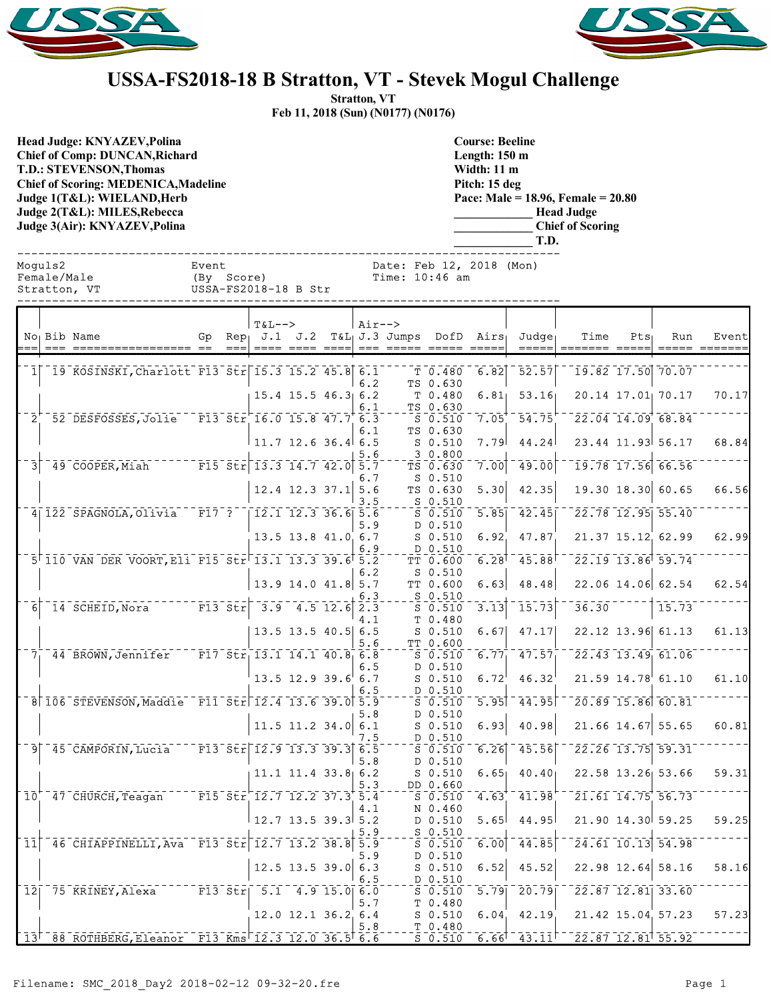



## **USSA-FS2018-18 B Stratton, VT - Stevek Mogul Challenge**

**Stratton, VT Feb 11, 2018 (Sun) (N0177) (N0176)**

**Head Judge: KNYAZEV,Polina Chief of Comp: DUNCAN,Richard T.D.: STEVENSON,Thomas Chief of Scoring: MEDENICA,Madeline Judge 1(T&L): WIELAND,Herb Judge 2(T&L): MILES,Rebecca Judge 3(Air): KNYAZEV,Polina** 

**Course: Beeline Length: 150 m Width: 11 m Pitch: 15 deg Pace: Male = 18.96, Female = 20.80 \_\_\_\_\_\_\_\_\_\_\_\_\_ Head Judge \_\_\_\_\_\_\_\_\_\_\_\_\_ Chief of Scoring \_\_\_\_\_\_\_\_\_\_\_\_\_ T.D.**

|     | Moguls2     | Female/Male<br>Stratton, VT                                               | Event<br>Date: Feb 12, 2018 (Mon)<br>(By Score)<br>Time: 10:46 am<br>USSA-FS2018-18 B Str |      |                                                                                                                       |                            |  |            |                                             |                                                                                                                                                                                 |                             |                                                                            |                                                                                             |         |                                                                               |                       |
|-----|-------------|---------------------------------------------------------------------------|-------------------------------------------------------------------------------------------|------|-----------------------------------------------------------------------------------------------------------------------|----------------------------|--|------------|---------------------------------------------|---------------------------------------------------------------------------------------------------------------------------------------------------------------------------------|-----------------------------|----------------------------------------------------------------------------|---------------------------------------------------------------------------------------------|---------|-------------------------------------------------------------------------------|-----------------------|
| :== |             | No Bib Name                                                               |                                                                                           | $==$ | $T&L-->$                                                                                                              |                            |  | $Air--$    | <u>---- ---- ---- --- ----- ----- -----</u> |                                                                                                                                                                                 |                             | Gp Rep J.1 J.2 T&L J.3 Jumps DofD Airs Judge<br>$=$ $=$ $=$ $=$ $=$ $\mid$ | Time<br>======= =====                                                                       | $Pts_1$ | Run                                                                           | Event<br>===== ====== |
|     |             | 1 19 KOSINSKI, Charlott F13 Str 15.3 15.2 45.8 6.1                        |                                                                                           |      |                                                                                                                       | $15.4$ 15.5 46.3 6.2       |  | 6.2        |                                             | T 0.480<br>TS 0.630<br>T 0.480                                                                                                                                                  | 6.82<br>6.81                | $\overline{52.57}$<br>53.16                                                |                                                                                             |         | $\overline{19.82}$ $\overline{17.50}$ $\overline{70.07}$<br>20.14 17.01 70.17 | 70.17                 |
|     | $2^{\circ}$ | 52 DESFOSSES, Jolie F13 Str 16.0 15.8 47.7 6.3                            |                                                                                           |      |                                                                                                                       |                            |  | 6.1<br>6.1 |                                             | TS 0.630<br>S 0.510<br>TS 0.630                                                                                                                                                 | 7.05                        | $-54.75$                                                                   | $-22.04$ $14.09$ $68.84$                                                                    |         |                                                                               |                       |
| 31  |             | $149$ COOPER, Miah F15 Str 13.3 14.7 42.0 5.7                             |                                                                                           |      |                                                                                                                       | $11.7$ 12.6 36.4 6.5       |  | 5.6        |                                             | $S_0.510$<br>30.800<br>TS 0.630                                                                                                                                                 | 7.79<br>7.00                | 44.24<br>49.00                                                             |                                                                                             |         | 23.44 11.93 56.17<br>$\overline{19.78}$ $\overline{17.56}$ $\overline{66.56}$ | 68.84                 |
|     |             |                                                                           |                                                                                           |      |                                                                                                                       | $12.4$ 12.3 37.1 5.6       |  | 6.7<br>3.5 |                                             | S 0.510<br>TS 0.630<br>$-250.510$                                                                                                                                               | 5.30                        | 42.35                                                                      |                                                                                             |         | $19.30$ $18.30$ 60.65                                                         | 66.56                 |
|     |             | 4 122 SPAGNOLA, Olivia F17 ?   12.1 12.3 36.6 5.6                         |                                                                                           |      |                                                                                                                       | 13.5 13.8 41.0 6.7         |  | 5.9        |                                             | S 0.510<br>D 0.510<br>$S$ 0.510                                                                                                                                                 | 5.85<br>6.92                | $-42.45$<br>47.87                                                          | $-22.78$ 12.95 55.40                                                                        |         | $21.37$ $15.12$ 62.99                                                         | 62.99                 |
|     |             | 5 110 VAN DER VOORT, Eli F15 Str 13.1 13.3 39.6 5.2                       |                                                                                           |      |                                                                                                                       | $13.9$ 14.0 41.8 5.7       |  | 6.9<br>6.2 |                                             | D 0.510<br>TT 0.600<br>$S_0.510$<br>TT 0.600                                                                                                                                    | 6.28<br>6.63                | 45.88<br>48.48                                                             |                                                                                             |         | 22.19 13.86 59.74<br>22.06 14.06 62.54                                        | 62.54                 |
| 61  |             | 14 SCHEID, Nora F13 Str 3.9 4.5 12.6 2.3                                  |                                                                                           |      |                                                                                                                       |                            |  | 6.3<br>4.1 |                                             | $S$ 0.510<br>S 0.510<br>T 0.480                                                                                                                                                 | 3.13                        | 15.73                                                                      | 36.30                                                                                       |         | 15.73                                                                         |                       |
|     |             | 7 44 BROWN, Jennifer F17 Str 13.1 14.1 40.8 6.8                           |                                                                                           |      |                                                                                                                       | 13.5 13.5 40.5 6.5         |  | 5.6        |                                             | S 0.510<br>TT 0.600<br>$S = 0.510$                                                                                                                                              | 6.67<br>6.77                | 47.17<br>$\bar{4}\bar{7}$ , $\bar{5}\bar{7}$                               |                                                                                             |         | 22.12 13.96 61.13<br>$\overline{22.43}$ 13.49 61.06                           | 61.13                 |
|     |             |                                                                           |                                                                                           |      |                                                                                                                       | $13.5$ 12.9 39.6 6.7       |  | 6.5<br>6.5 |                                             | D 0.510<br>$S_0.510$<br>$D_0.510$                                                                                                                                               | 6.72                        | 46.32                                                                      |                                                                                             |         | $21.59$ $14.78$ 61.10                                                         | 61.10                 |
|     |             | 8 106 STEVENSON, Maddie F11 Str 12.4 13.6 39.0 5.9                        |                                                                                           |      |                                                                                                                       | $11.5$ 11.2 34.0 6.1       |  | 5.8        |                                             | 50.510<br>D 0.510<br>$S$ 0.510                                                                                                                                                  | 5.95<br>6.93                | 44.95<br>40.98                                                             | $-20.89$ 15.86 60.81                                                                        |         | $21.66$ 14.67 55.65                                                           | 60.81                 |
|     |             | 9 45 CAMPORIN, Lucia F13 Str 12.9 13.3 39.3 6.5                           |                                                                                           |      |                                                                                                                       |                            |  | 7.5<br>5.8 |                                             | D 0.510<br>S 0.510<br>D 0.510                                                                                                                                                   | 6.26                        | 45.56                                                                      |                                                                                             |         | 22.26 13.75 59.31                                                             |                       |
|     |             | $10^{6}$ 47 CHURCH, Teagan F15 Str 12.7 12.2 37.3 5.4                     |                                                                                           |      |                                                                                                                       | $11.1$ $11.4$ $33.8$ 6.2   |  | 5.3        |                                             | S 0.510<br>DD 0.660<br>S 0.510                                                                                                                                                  | 6.65                        |                                                                            | 40.40 22.58 13.26 53.66<br>$4.63$ <sup>+</sup> $41.98$ <sup>+ -</sup> $21.61$ $14.75$ 56.73 |         |                                                                               | 59.31                 |
|     |             |                                                                           |                                                                                           |      |                                                                                                                       | $12.7$ 13.5 39.3 5.2       |  | 4.1<br>5.9 |                                             | N 0.460<br>D 0.510<br>$S$ 0.510                                                                                                                                                 | 5.65                        | 44.95                                                                      |                                                                                             |         | 21.90 14.30 59.25                                                             | 59.25                 |
| 11  |             | 46 CHIAPPINELLI, Ava <sup>-</sup> F13 Str <sup>-</sup> 12.7 13.2 38.8 5.9 |                                                                                           |      |                                                                                                                       | $12.5$ 13.5 39.0 6.3       |  | 5.9        |                                             | $\overline{\overline{\mathbf{s}}}$ $\overline{\overline{\mathbf{0}}}\cdot\overline{\overline{\mathbf{s}}}$ $\overline{\mathbf{1}}\overline{\mathbf{0}}$<br>D 0.510<br>$S_0.510$ | 6.00<br>6.52                | $\bar{4}\bar{4}\bar{.}\bar{8}\bar{5}$<br>45.52                             |                                                                                             |         | $\sqrt{24.61}$ $\sqrt{10.13}$ $\sqrt{54.98}$<br>22.98 12.64 58.16             | 58.16                 |
| 12  |             | 75 KRINEY, Alexa                                                          |                                                                                           |      | $\overline{F13}$ $\overline{51}$ $\overline{17}$ $\overline{5.1}$ $\overline{4.9}$ $\overline{15.0}$ $\overline{6.0}$ |                            |  | 6.5<br>5.7 |                                             | D 0.510<br>$5 - 510$<br>T 0.480                                                                                                                                                 | 5.79                        | 20.79                                                                      |                                                                                             |         | $\sqrt{22.87}$ $\sqrt{12.81}$ $\sqrt{33.60}$                                  | 57.23                 |
|     |             | $13^{+188}$ ROTHBERG, Eleanor F13 Kms 12.3 12.0 36.5 6.6                  |                                                                                           |      |                                                                                                                       | $12.0$ $12.1$ $36.2$ $6.4$ |  | 5.8        |                                             | $S$ 0.510<br>T 0.480<br>$S_0.510$                                                                                                                                               | 6.04<br>$6.66$ <sup>T</sup> | 42.19<br>$-43.11$                                                          |                                                                                             |         | 21.42 15.04 57.23<br>$\sqrt{22.87}$ $\sqrt{12.81}$ $\sqrt{55.92}$             |                       |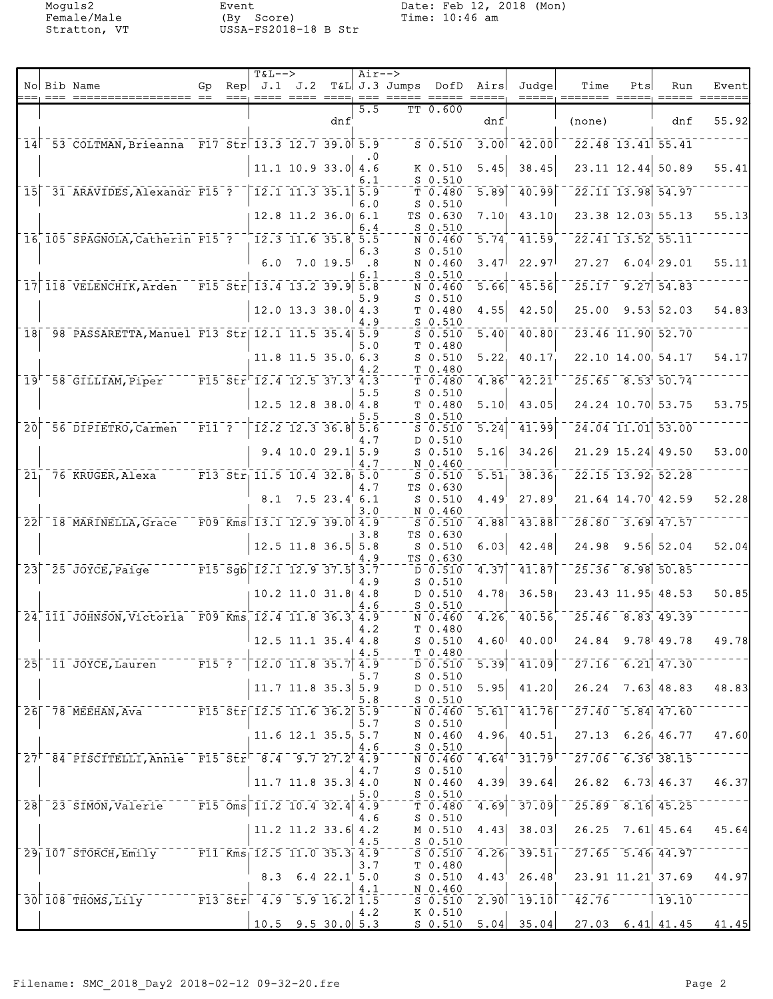|                 |                                                               |                    |                 | <b>T&amp;L--&gt;</b>                                   |                                                                        |            | $Air--$    |                                                    |                                          |                   |                                                                                            |                                                                                                                                        |     |                                                         |                                 |
|-----------------|---------------------------------------------------------------|--------------------|-----------------|--------------------------------------------------------|------------------------------------------------------------------------|------------|------------|----------------------------------------------------|------------------------------------------|-------------------|--------------------------------------------------------------------------------------------|----------------------------------------------------------------------------------------------------------------------------------------|-----|---------------------------------------------------------|---------------------------------|
|                 | No Bib Name                                                   | Gp.                | Re <sub>D</sub> |                                                        | J.1 J.2                                                                |            |            | T&L J.3 Jumps<br>---, ---- ---- ----, --- ----- -- |                                          | DofD Airs         | Judgel                                                                                     | Time<br>=====, ======= =====                                                                                                           | Pts | Run                                                     | Event                           |
|                 |                                                               |                    |                 |                                                        |                                                                        |            | 5.5        |                                                    | TT 0.600                                 |                   |                                                                                            |                                                                                                                                        |     |                                                         |                                 |
|                 |                                                               |                    |                 |                                                        |                                                                        | dnf        |            |                                                    |                                          | dnf               |                                                                                            | (none)                                                                                                                                 |     | dnf                                                     | 55.92                           |
|                 | 14 53 COLTMAN, Brieanna F17 Str 13.3 12.7 39.0 5.9            |                    |                 |                                                        |                                                                        |            |            |                                                    | 50.510                                   |                   | $-3.001 - 42.001$                                                                          |                                                                                                                                        |     | $\overline{22.48}$ 13.41 55.41                          |                                 |
|                 |                                                               |                    |                 |                                                        |                                                                        |            |            |                                                    |                                          |                   |                                                                                            |                                                                                                                                        |     |                                                         |                                 |
|                 |                                                               |                    |                 |                                                        | $11.1$ 10.9 33.0                                                       |            | 4.6        |                                                    | K 0.510                                  | 5.45              | 38.45                                                                                      |                                                                                                                                        |     | 23.11 12.44 50.89                                       | 55.41                           |
|                 | 15 31 ARAVIDES, Alexandr F15 ?                                |                    |                 | $\begin{bmatrix} 12.1 & 11.3 & 35.1 \end{bmatrix}$ 5.9 |                                                                        |            | 6.1        |                                                    | $S$ 0.510<br>T <sub>0.480</sub>          | $\overline{5.89}$ | 40.99                                                                                      |                                                                                                                                        |     | 22.11 13.98 54.97                                       |                                 |
|                 |                                                               |                    |                 |                                                        |                                                                        |            | 6.0        |                                                    | $S$ 0.510                                |                   |                                                                                            |                                                                                                                                        |     |                                                         |                                 |
|                 |                                                               |                    |                 |                                                        | $12.8$ 11.2 36.0 6.1                                                   |            |            |                                                    | TS 0.630                                 | 7.10 <sub>1</sub> | 43.10                                                                                      |                                                                                                                                        |     | 23.38 12.03 55.13                                       | 55.13                           |
|                 | 16 105 SPAGNOLA, Catherin F15 ?                               |                    |                 |                                                        | $\overline{12.3}$ $\overline{11.6}$ $\overline{35.8}$ $\overline{5.5}$ |            | 6.4        |                                                    | $S_0.510$<br>N 0.460                     | 5.74              | 11.59                                                                                      |                                                                                                                                        |     | $\overline{22.41}$ 13.52 55.11                          |                                 |
|                 |                                                               |                    |                 |                                                        |                                                                        |            | 6.3        |                                                    | $S$ 0.510                                |                   |                                                                                            |                                                                                                                                        |     |                                                         |                                 |
|                 |                                                               |                    |                 | 6.0                                                    |                                                                        | $7.0$ 19.5 | .8         |                                                    | N 0.460                                  | 3.47              | 22.97                                                                                      |                                                                                                                                        |     | $27.27$ 6.04 29.01                                      | 55.11                           |
|                 | 17 118 VELENCHIK, Arden F15 Str 13.4 13.2 39.9 5.8            |                    |                 |                                                        |                                                                        |            | 6.1        |                                                    | $S_0.510$<br>N 0.460                     | 5.66              | 45.56                                                                                      |                                                                                                                                        |     | $25.17 - 9.27$ 54.83                                    |                                 |
|                 |                                                               |                    |                 |                                                        |                                                                        |            | 5.9        |                                                    | $S$ 0.510                                |                   |                                                                                            |                                                                                                                                        |     |                                                         |                                 |
|                 |                                                               |                    |                 |                                                        | $12.0$ 13.3 38.0 4.3                                                   |            |            |                                                    | T 0.480                                  | 4.55              | 42.50                                                                                      | 25.00                                                                                                                                  |     | $9.53$ 52.03                                            | 54.83                           |
| 18              | 798 PASSARETTA, Manuel F13 Str 12.1 11.5 35.4 5.9             |                    |                 |                                                        |                                                                        |            | 4.9        |                                                    | $S$ 0.510<br>$S$ 0.510                   | 5.40              | $-40.80$                                                                                   |                                                                                                                                        |     | $\overline{23.46}$ 11.90 52.70                          |                                 |
|                 |                                                               |                    |                 |                                                        |                                                                        |            | 5.0        |                                                    | T 0.480                                  |                   |                                                                                            |                                                                                                                                        |     |                                                         |                                 |
|                 |                                                               |                    |                 |                                                        | $11.8$ 11.5 35.0 6.3                                                   |            |            |                                                    | $S_0.510$                                | 5.22              | 40.17                                                                                      |                                                                                                                                        |     | 22.10 14.00 54.17                                       | 54.17                           |
|                 | 19 <sup>F-58</sup> GILLIAM, Piper                             |                    |                 | $^{-}$ F15 Str $^{-}$ 12.4 12.5 37.3 $^{\dagger}$ 4.3  |                                                                        |            | 4.2        |                                                    | T <sub>0.480</sub><br>T <sub>0.480</sub> | 4.86              | 42.21                                                                                      |                                                                                                                                        |     | $25.65 - 8.53$ 50.74                                    |                                 |
|                 |                                                               |                    |                 |                                                        |                                                                        |            | 5.5        |                                                    | $S$ 0.510                                |                   |                                                                                            |                                                                                                                                        |     |                                                         |                                 |
|                 |                                                               |                    |                 |                                                        | $12.5$ 12.8 38.0 4.8                                                   |            |            |                                                    | T 0.480                                  | 5.10              | 43.05                                                                                      |                                                                                                                                        |     | 24.24 10.70 53.75                                       | 53.75                           |
| $\overline{20}$ | $-56$ $\overline{D}$ IPIETRO, Carmen                          | $\overline{F11}$ ? |                 |                                                        | $\frac{12.2}{12.3}$ 36.8 5.6                                           |            | 5.5        |                                                    | $S$ 0.510<br>$S_0.510$                   | 5.24              | 41.99                                                                                      |                                                                                                                                        |     | 24.04 11.01 53.00                                       |                                 |
|                 |                                                               |                    |                 |                                                        |                                                                        |            | 4.7        |                                                    | D 0.510                                  |                   |                                                                                            |                                                                                                                                        |     |                                                         |                                 |
|                 |                                                               |                    |                 |                                                        | $9.4$ 10.0 29.1 5.9                                                    |            |            |                                                    | $S$ 0.510                                | 5.16              | 34.26                                                                                      |                                                                                                                                        |     | $21.29$ 15.24 49.50                                     | 53.00                           |
|                 | 21 76 KRUGER, Alexa F13 Str 11.5 10.4 32.8 5.0                |                    |                 |                                                        |                                                                        |            | 4.7        |                                                    | N 0.460<br>$S$ 0.510                     | 5.51              | 38.36                                                                                      |                                                                                                                                        |     | 22.15 13.92 52.28                                       |                                 |
|                 |                                                               |                    |                 |                                                        |                                                                        |            | 4.7        |                                                    | TS 0.630                                 |                   |                                                                                            |                                                                                                                                        |     |                                                         |                                 |
|                 |                                                               |                    |                 |                                                        | $8.1$ 7.5 23.4 6.1                                                     |            |            |                                                    | $S$ 0.510<br>N 0.460                     | 4.49              | 27.89                                                                                      |                                                                                                                                        |     | 21.64 14.70 42.59                                       | 52.28                           |
|                 | 22 18 MARINELLA, Grace                                        |                    |                 | $\overline{F09}$ Kms 13.1 12.9 39.0 4.9                |                                                                        |            | 3.0        |                                                    | $S_0.510$                                | 4.88              | 43.88                                                                                      |                                                                                                                                        |     | $28.80$ $3.69$ $47.57$                                  |                                 |
|                 |                                                               |                    |                 |                                                        |                                                                        |            | 3.8        |                                                    | TS 0.630                                 |                   |                                                                                            |                                                                                                                                        |     |                                                         |                                 |
|                 |                                                               |                    |                 |                                                        | $12.5$ 11.8 36.5                                                       |            | 5.8<br>4.9 |                                                    | $S_0.510$<br>TS 0.630                    | 6.03              | 42.48                                                                                      | 24.98                                                                                                                                  |     | $9.56$ 52.04                                            | 52.04                           |
|                 | $23$ $25$ JOYCE, Paige                                        |                    |                 | $\sqrt{15}$ Sgb $12.1$ $12.9$ $37.5$ $3.7$             |                                                                        |            |            |                                                    | D 0.510                                  | 4.37              | 41.87                                                                                      |                                                                                                                                        |     | 25.36 8.98 50.85                                        |                                 |
|                 |                                                               |                    |                 |                                                        |                                                                        |            | 4.9        |                                                    | $S_0.510$                                |                   |                                                                                            |                                                                                                                                        |     |                                                         |                                 |
|                 |                                                               |                    |                 |                                                        | $10.2$ 11.0 31.8 4.8                                                   |            | 4.6        |                                                    | D 0.510<br>$S_0.510$                     | 4.78              | 36.58                                                                                      |                                                                                                                                        |     | 23.43 11.95 48.53                                       | 50.85                           |
|                 | 24 111 JOHNSON, Victoria F09 Kms 12.4 11.8 36.3 4.9           |                    |                 |                                                        |                                                                        |            |            |                                                    | N 0.460                                  | 4.26              | 40.56                                                                                      |                                                                                                                                        |     | $\overline{25.46}$ $\overline{8.83}$ $\overline{49.39}$ |                                 |
|                 |                                                               |                    |                 |                                                        |                                                                        |            | 4.2        |                                                    | T 0.480                                  |                   |                                                                                            |                                                                                                                                        |     |                                                         |                                 |
|                 |                                                               |                    |                 | $12.5$ 11.1 35.4 4.8                                   |                                                                        |            | 4.5        |                                                    | $S$ 0.510<br>T 0.480                     |                   | $4.60$ $40.00$                                                                             |                                                                                                                                        |     | $24.84$ 9.78 49.78                                      | 49.78                           |
|                 | 25 11 JOYCE, Lauren F15 ?   12.0 11.8 35.7 4.9                |                    |                 |                                                        |                                                                        |            |            |                                                    |                                          |                   | $\overline{p}\,\overline{0.510}\,$ $\overline{5.39}\,$ $\overline{41.09}\,$ $\overline{1}$ |                                                                                                                                        |     | $\frac{1}{27.16}$ 6.21 47.30                            |                                 |
|                 |                                                               |                    |                 |                                                        | $11.7$ 11.8 35.3 5.9                                                   |            | 5.7        |                                                    | $S$ 0.510<br>$D$ 0.510 5.95              |                   | 41.20                                                                                      |                                                                                                                                        |     | $26.24$ 7.63 48.83                                      | 48.83                           |
|                 |                                                               |                    |                 |                                                        |                                                                        |            | 5.8        |                                                    | S <sub>0.510</sub>                       |                   |                                                                                            |                                                                                                                                        |     |                                                         |                                 |
|                 | 26 78 MEEHAN, Ava F15 Str 12.5 11.6 36.2 5.9                  |                    |                 |                                                        |                                                                        |            |            |                                                    |                                          |                   | $\bar{N}$ 0.460 5.61 41.76                                                                 |                                                                                                                                        |     | $\sqrt{27.40}$ 5.84 47.60                               |                                 |
|                 |                                                               |                    |                 |                                                        | 11.6 12.1 35.5 5.7                                                     |            | 5.7        |                                                    | $S_0.510$<br>N 0.460                     |                   | $4.96$ , $40.51$                                                                           |                                                                                                                                        |     | $27.13$ 6.26 46.77                                      | 47.60                           |
|                 |                                                               |                    |                 |                                                        |                                                                        |            | 4.6        |                                                    | $S_0.510$                                |                   |                                                                                            |                                                                                                                                        |     |                                                         |                                 |
|                 | 27 84 PISCITELLI, Annie F15 Str <sup>1</sup> 8.4 9.7 27.2 4.9 |                    |                 |                                                        |                                                                        |            |            |                                                    |                                          |                   |                                                                                            | $^{\circ}$ N $^{\circ}$ O.460 $^{\circ}$ 4.64 $^{\circ}$ 31.79 $^{\circ}$ $^{\circ}$ 27.06 $^{\circ}$ 6.36 $^{\circ}$ 38.15 $^{\circ}$ |     |                                                         |                                 |
|                 |                                                               |                    |                 |                                                        | $11.7$ 11.8 35.3 4.0                                                   |            | 4.7        |                                                    | $S_0.510$<br>N 0.460                     | 4.39              | 39.64                                                                                      |                                                                                                                                        |     | $26.82 \quad 6.73 \quad 46.37$                          | 46.37                           |
|                 |                                                               |                    |                 |                                                        |                                                                        |            | 5.0        |                                                    | $S_0.510$                                |                   |                                                                                            |                                                                                                                                        |     |                                                         |                                 |
|                 | 28 23 SIMON, Valerie F15 Oms 11.2 10.4 32.4 4.9               |                    |                 |                                                        |                                                                        |            |            |                                                    |                                          |                   | $-7 - 0.480 - 4.69 - 37.09$                                                                |                                                                                                                                        |     | $\sqrt{25.89}$ $\sqrt{8.16}$ $\sqrt{45.25}$             |                                 |
|                 |                                                               |                    |                 |                                                        | $11.2$ 11.2 33.6 4.2                                                   |            | 4.6        |                                                    | $S_0.510$<br>M 0.510                     |                   | $4.43$ 38.03                                                                               |                                                                                                                                        |     | $26.25$ 7.61 45.64                                      | 45.64                           |
|                 |                                                               |                    |                 |                                                        |                                                                        |            | 4.5        |                                                    | $ \frac{S}{a}$ $\frac{0.510}{a}$         |                   |                                                                                            |                                                                                                                                        |     |                                                         |                                 |
|                 | 29 107 STORCH, Emily F11 Kms 12.5 11.0 35.3 4.9               |                    |                 |                                                        |                                                                        |            |            |                                                    |                                          |                   |                                                                                            | $5.46$ , $39.51$ , $39.51$ , $7.65$ , $5.46$ , $44.97$                                                                                 |     |                                                         |                                 |
|                 |                                                               |                    |                 |                                                        | $8.3 \quad 6.4 \quad 22.1$ 5.0                                         |            | 3.7        |                                                    | T <sub>0.480</sub>                       |                   | $S$ 0.510 4.43 26.48                                                                       |                                                                                                                                        |     |                                                         | $23.91$ $11.21$ $37.69$ $44.97$ |
|                 |                                                               |                    |                 |                                                        |                                                                        |            | 4.1        |                                                    | $N_0$ -460                               |                   |                                                                                            |                                                                                                                                        |     |                                                         |                                 |
|                 | 30 108 THOMS, Lily F13 Str 4.9 5.9 16.2 1.5                   |                    |                 |                                                        |                                                                        |            |            |                                                    |                                          |                   |                                                                                            | $50.510 - 2.90$ $19.10$ $-42.76$ $-119.10$                                                                                             |     |                                                         |                                 |
|                 |                                                               |                    |                 |                                                        | $10.5$ 9.5 30.0 5.3                                                    |            | 14.2       |                                                    | K 0.510                                  |                   |                                                                                            | $S$ 0.510 5.04 35.04 27.03 6.41 41.45 41.45                                                                                            |     |                                                         |                                 |
|                 |                                                               |                    |                 |                                                        |                                                                        |            |            |                                                    |                                          |                   |                                                                                            |                                                                                                                                        |     |                                                         |                                 |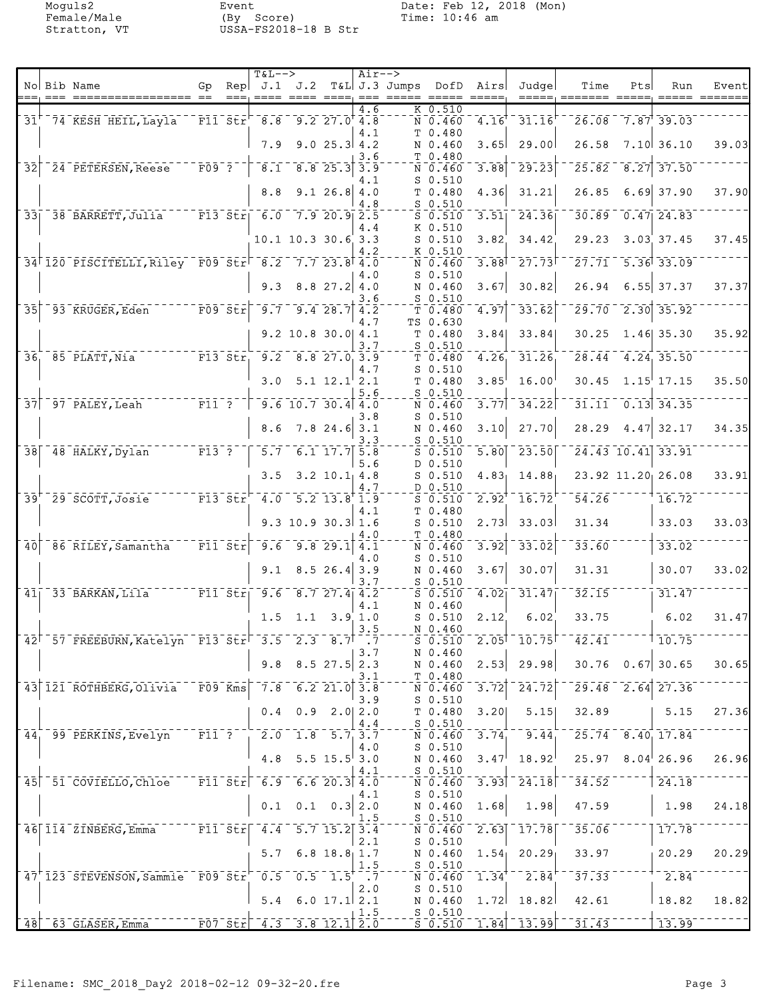|                 |        |                                                                                                                     |                         |      | <b>T&amp;L--&gt;</b>                                                                 |                                                  |                    | $Air--$            |                                                     |                                                                |                                 |                                              |                                                         |     |                                                         |                                  |
|-----------------|--------|---------------------------------------------------------------------------------------------------------------------|-------------------------|------|--------------------------------------------------------------------------------------|--------------------------------------------------|--------------------|--------------------|-----------------------------------------------------|----------------------------------------------------------------|---------------------------------|----------------------------------------------|---------------------------------------------------------|-----|---------------------------------------------------------|----------------------------------|
|                 | $== =$ | No Bib Name<br>===== ==                                                                                             | Gp                      | $==$ | Rep $J.1$ $J.2$                                                                      |                                                  |                    |                    | T&L J.3 Jumps<br><u> ==== ====, === ===== =====</u> | DofD                                                           | Airs<br>$\qquad \qquad == == =$ | Judgel<br>$=$ $=$ $=$ $=$ $.$                | Time<br>essesse sesse,                                  | Pts | Run                                                     | Event<br>$=$ $=$ $=$ $=$ $=$ $=$ |
|                 |        | 31 <sup>'</sup> 74 KESH HEIL, Layla                                                                                 |                         |      | $ \overline{F11}$ $\overline{51}$ $\overline{F}$ $-8.8$ $-9.2$ 27.0 <sup>+</sup> 4.8 |                                                  |                    | $\overline{4.6}$   |                                                     | $K$ 0.510<br>$\bar{N}$ $\bar{0}$ $\bar{4}$ $\bar{6}$ $\bar{0}$ | 4.16                            | 31.16                                        |                                                         |     | $26.08$ 7.87 39.03                                      |                                  |
|                 |        |                                                                                                                     |                         |      | 7.9                                                                                  |                                                  | $9.025.3$ 4.2      | 4.1                |                                                     | T 0.480<br>N 0.460                                             | 3.65                            | 29.00                                        | 26.58                                                   |     | 7.10   36.10                                            | 39.03                            |
|                 |        | 32 <sup>-</sup> 24 PETERSEN, Reese                                                                                  | $ \bar{F}$ 09 $\bar{?}$ |      | $\overline{8.1}^{-1}$                                                                |                                                  | $8.8$ 25.3         | 3.6<br>3.9         |                                                     | T 0.480<br>N 0.460                                             | 3.88                            | 29.23                                        |                                                         |     | $25.82 - 8.27$ 37.50                                    |                                  |
|                 |        |                                                                                                                     |                         |      | 8.8                                                                                  |                                                  | 9.126.84.0         | 4.1                |                                                     | $S$ 0.510<br>T 0.480                                           | 4.36                            | 31.21                                        | 26.85                                                   |     | $6.69$ 37.90                                            | 37.90                            |
|                 |        | 33 38 BARRETT, Julia F13 Str 6.0 7.9 20.9 2.5                                                                       |                         |      |                                                                                      |                                                  |                    | 4.8                |                                                     | $S$ 0.510<br>$S$ 0.510                                         | 3.51                            | 24.36                                        | 30.89                                                   |     | $0.47$   24.83                                          |                                  |
|                 |        |                                                                                                                     |                         |      |                                                                                      | 10.1 10.3 30.6 3.3                               |                    | 4.4                |                                                     | K 0.510<br>$S$ 0.510                                           | 3.82                            | 34.42                                        | 29.23                                                   |     | $3.03 \ 37.45$                                          | 37.45                            |
|                 |        | 34 120 PISCITELLI, Riley F09 Str <sup>1</sup> 8.2 7.7 23.8 4.0                                                      |                         |      |                                                                                      |                                                  |                    | 4.2                |                                                     | K 0.510<br>N 0.460                                             | $3.88$ <sup>T</sup>             | 27.73                                        |                                                         |     | $\frac{1}{27.71}$ 5.36 33.09                            |                                  |
|                 |        |                                                                                                                     |                         |      |                                                                                      | $9.3$ $8.8$ $27.2$ $4.0$                         |                    | 4.0                |                                                     | $S$ 0.510<br>N 0.460                                           | 3.67                            | 30.82                                        | 26.94                                                   |     | $6.55$ 37.37                                            | 37.37                            |
| $\overline{35}$ |        | $-93$ KRUGER, Eden $-$                                                                                              | $\overline{F09}$ str    |      |                                                                                      | $\begin{bmatrix} 9.7 & 9.4 & 28.7 \end{bmatrix}$ |                    | 3.6<br>4.2         |                                                     | $S$ 0.510<br>$T$ 0.480                                         | 4.97                            | 33.62                                        | $\overline{29.70}$                                      |     | $\sqrt{2.30}$ 35.92                                     |                                  |
|                 |        |                                                                                                                     |                         |      |                                                                                      | 9.2 10.8 30.0 4.1                                |                    | 4.7                |                                                     | TS 0.630<br>T 0.480                                            | 3.84                            | 33.84                                        | 30.25                                                   |     | $1.46$ 35.30                                            | 35.92                            |
|                 |        | $F1355r$ $9.25837.0339$<br>$36 - 85$ PLATT, Nia                                                                     |                         |      |                                                                                      |                                                  |                    | 3.7                |                                                     | $S$ 0.510<br>T 0.480                                           | 4.26                            | 31.26                                        |                                                         |     | $\overline{28.44}$ $\overline{4.24}$ $\overline{35.50}$ |                                  |
|                 |        |                                                                                                                     |                         |      |                                                                                      |                                                  | $5.1 \ 12.1$ $2.1$ | 4.7                |                                                     | $S$ 0.510                                                      |                                 | 16.00                                        |                                                         |     |                                                         |                                  |
|                 |        | $\begin{tabular}{cc c} - & - & - & - & - \\ \hline \textbf{F11} & \textbf{F}^{-} & \textbf{F}^{-} \\ \end{tabular}$ |                         |      | 3.0                                                                                  |                                                  |                    | 5.6                |                                                     | T 0.480<br>$S$ 0.510                                           | 3.85                            |                                              |                                                         |     | $30.45$ 1.15 17.15                                      | 35.50                            |
|                 |        | $37$ $97$ $PALEY$ , Leah                                                                                            |                         |      |                                                                                      | $9.6$ 10.7 30.4 4.0                              |                    | 3.8                |                                                     | N 0.460<br>$S$ 0.510                                           | 3.77                            | 34.22                                        | 31.11                                                   |     | $\overline{0.13}$ 34.35                                 |                                  |
|                 |        |                                                                                                                     |                         |      | 8.6                                                                                  |                                                  | $7.8$ 24.6 3.1     | 3.3                |                                                     | N 0.460<br>$S$ 0.510                                           | 3.10                            | 27.70                                        | 28.29                                                   |     | $4.47$ 32.17                                            | 34.35                            |
|                 |        | 38 48 HALKY, Dylan F13 ?                                                                                            |                         |      |                                                                                      | $5.7 - 6.1 17.75$ 5.8                            |                    | 5.6                |                                                     | $S$ 0.510<br>D 0.510                                           | 5.80                            | $\overline{23.50}$                           |                                                         |     | $24.43$ 10.41 33.91                                     |                                  |
|                 |        |                                                                                                                     |                         |      | 3.5                                                                                  |                                                  | $3.2$ $10.1$ 4.8   | 4.7                |                                                     | $S$ 0.510<br>D 0.510                                           | 4.83 <sub>1</sub>               | 14.88                                        |                                                         |     | 23.92 11.20 26.08                                       | 33.91                            |
|                 |        | 39 <sup>+</sup> 29 SCOTT, Josie F13 Str <sup>-</sup> 4.0 5.2 13.8 1.9                                               |                         |      |                                                                                      |                                                  |                    | 4.1                |                                                     | $S$ 0.510<br>T 0.480                                           | 2.92                            | 16.72                                        | 54.26                                                   |     | 16.72                                                   |                                  |
|                 |        |                                                                                                                     |                         |      |                                                                                      | $9.3$ 10.9 30.3 1.6                              |                    | 4.0                |                                                     | $S$ 0.510<br>T 0.480                                           | 2.73                            | 33.03                                        | 31.34                                                   |     | 33.03                                                   | 33.03                            |
| $\overline{40}$ |        | $\sqrt{86}$ RILEY, Samantha $\sqrt{11}$ Str                                                                         |                         |      | 9.6                                                                                  |                                                  | 9.829.1            | 4.1<br>4.0         |                                                     | N 0.460<br>$S$ 0.510                                           | 3.92                            | 33.02                                        | 33.60                                                   |     | 33.02                                                   |                                  |
|                 |        |                                                                                                                     |                         |      |                                                                                      | $9.1$ 8.5 26.4 3.9                               |                    | 3.7                |                                                     | N 0.460<br>$S$ 0.510                                           | 3.67                            | 30.07                                        | 31.31                                                   |     | 30.07                                                   | 33.02                            |
|                 |        | 41 33 BARKAN, Lila F11 Str 9.6                                                                                      |                         |      |                                                                                      | $-8.727.4$ $4.2$                                 |                    | 4.1                |                                                     | $S = 0.510$<br>N 0.460                                         | 4.02                            | 31.47                                        | $\overline{3}\overline{2}\cdot\overline{1}\overline{5}$ |     | 31.47                                                   |                                  |
|                 |        |                                                                                                                     |                         |      |                                                                                      | $1.5$ 1.1 3.9 1.0                                |                    |                    |                                                     | $S$ 0.510                                                      | 2.12                            | 6.02                                         | 33.75                                                   |     | 6.02                                                    | 31.47                            |
|                 |        | 42 57 FREEBURN, Katelyn F13 Str <sup>-</sup> 3.5 2.3 8.7 <sup>-</sup> : 7                                           |                         |      |                                                                                      |                                                  |                    | 3.5                |                                                     | N 0.460<br>$S$ $0.510$                                         |                                 | $2.05$ <sup>1-</sup> 10.75 <sup> -1</sup>    | $\overline{42.41}$ $^{-1}$                              |     | $-110.75$                                               |                                  |
|                 |        |                                                                                                                     |                         |      |                                                                                      | $9.8$ $8.5$ 27.5 2.3                             |                    | 3.7                |                                                     | N 0.460<br>N 0.460                                             |                                 | $2.53$ 29.98                                 |                                                         |     | $30.76$ 0.67 30.65                                      | 30.65                            |
|                 |        | 43 121 ROTHBERG, Olivia F09 Kms 7.8 6.2 21.0 3.8                                                                    |                         |      |                                                                                      |                                                  |                    | 3.1                |                                                     | T 0.480<br>N 0.460                                             | 3.72                            | 24.72                                        |                                                         |     | $\sqrt{29.48}$ $\sqrt{2.64}$ $\sqrt{27.36}$             |                                  |
|                 |        |                                                                                                                     |                         |      | 0.4                                                                                  |                                                  | $0.9$ 2.0 2.0      | 3.9                |                                                     | $S$ 0.510<br>$T$ 0.480                                         | 3.20                            | 5.15                                         | 32.89                                                   |     | 5.15                                                    | 27.36                            |
|                 |        | 44 99 PERKINS, Evelyn F11 ? 2.0 1.8 5.7 3.7                                                                         |                         |      |                                                                                      |                                                  |                    | 4.4                |                                                     | $S$ 0.510<br>N 0.460                                           | 3.74                            | 9.44                                         |                                                         |     | $\sqrt{25.74}$ $\sqrt{8.40}$ 17.84                      |                                  |
|                 |        |                                                                                                                     |                         |      | 4.8                                                                                  |                                                  | $5.5$ 15.5 3.0     | 4.0                |                                                     | $S_0.510$<br>N 0.460                                           | 3.47                            | $18.92^{\dagger}$                            |                                                         |     | $25.97$ 8.04 26.96                                      | 26.96                            |
|                 |        | 45 51 COVIELLO, Chloe                                                                                               |                         |      | $ \texttt{F11-St}\texttt{r}$ $-$ 6.9 $-$ 6.6 20.3 4.0                                |                                                  |                    | 4.1                |                                                     | $S$ 0.510<br>$\bar{\texttt{N}}$ 0.460 $\bar{\texttt{N}}$       |                                 | $\overline{3.93}$ $\overline{24.18}$         | 34.52                                                   |     | $\sqrt{24.18}$                                          |                                  |
|                 |        |                                                                                                                     |                         |      |                                                                                      | $0.1 \quad 0.1 \quad 0.3   2.0$                  |                    | 4.1                |                                                     | $S_0.510$<br>N 0.460                                           | 1.68                            | 1.98                                         | 47.59                                                   |     | 1.98                                                    | 24.18                            |
|                 |        | 46 114 ZINBERG, Emma F11 Str 4.4 5.7 15.2 3.4                                                                       |                         |      |                                                                                      |                                                  |                    | 1.5                |                                                     | $S$ 0.510<br>$N = 0.460$                                       |                                 | $\overline{2.63}$ $\overline{17.78}$         | 35.06                                                   |     | 17.78                                                   |                                  |
|                 |        |                                                                                                                     |                         |      |                                                                                      | $5.7 \t6.8 \t18.8 \t1.7$                         |                    | 2.1                |                                                     | $S$ 0.510<br>N 0.460                                           |                                 | $1.54$ 20.29                                 | 33.97                                                   |     | 20.29                                                   | 20.29                            |
|                 |        | 47 123 STEVENSON, Sammie F09 Str 0.5 0.5 1.5                                                                        |                         |      |                                                                                      |                                                  |                    | 1.5<br>$\cdot$ . 7 |                                                     | $S_0.510$<br>$\bar{\texttt{N}}$ 0.460 $\bar{\texttt{N}}$       | $1.34$ <sup>T</sup>             | $\overline{2.84}$                            | 37.33                                                   |     | $\frac{-2.84}{3.84}$                                    |                                  |
|                 |        |                                                                                                                     |                         |      | 5.4                                                                                  |                                                  | 6.0 $17.1$ 2.1     | 2.0                |                                                     | $S_0.510$<br>N 0.460                                           |                                 | $1.72$ 18.82                                 | 42.61                                                   |     | $\vert$ 18.82                                           | 18.82                            |
|                 |        | 48 63 GLASER, Emma<br>F07 Str 4.3 3.8 12.1 2.0                                                                      |                         |      |                                                                                      |                                                  |                    | 1.5                |                                                     | $S_0.510$                                                      |                                 | $\sqrt{50.510}$ $\sqrt{1.84}$ $\sqrt{13.99}$ | $-31.43$                                                |     | 13.99                                                   |                                  |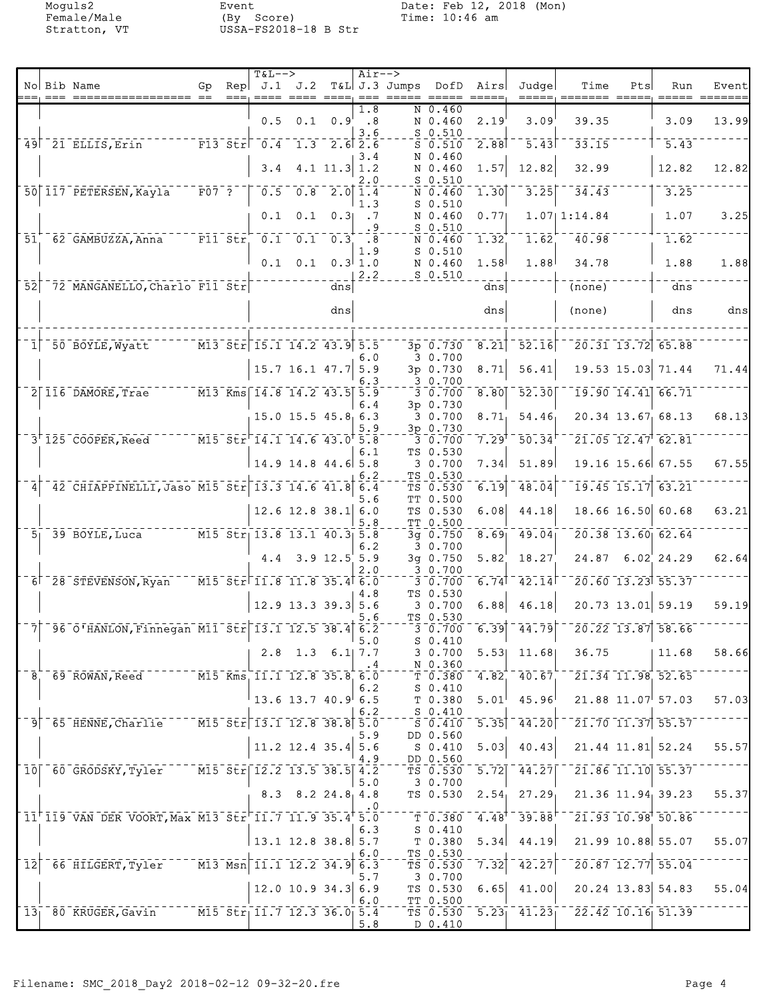|                  |                                                                                |                             |      | <b>T&amp;L--&gt;</b>                                                                               |                          |                          | $Air--$                   |                                                                                                                                                                                                                                                                                                                                                                                                                                                           |                                                                       |                    |                                            |                                                   |                                                          |                                                                                                                |       |
|------------------|--------------------------------------------------------------------------------|-----------------------------|------|----------------------------------------------------------------------------------------------------|--------------------------|--------------------------|---------------------------|-----------------------------------------------------------------------------------------------------------------------------------------------------------------------------------------------------------------------------------------------------------------------------------------------------------------------------------------------------------------------------------------------------------------------------------------------------------|-----------------------------------------------------------------------|--------------------|--------------------------------------------|---------------------------------------------------|----------------------------------------------------------|----------------------------------------------------------------------------------------------------------------|-------|
|                  | No Bib Name<br>=== ================== ==                                       | Gp                          | $==$ | Rep $J.1$ $J.2$                                                                                    |                          | $= = = = 2$              |                           | T&L J.3 Jumps DofD<br>$\begin{array}{cccccc} \texttt{m} & \texttt{m} & \texttt{m} & \texttt{m} & \texttt{m} & \texttt{m} & \texttt{m} & \texttt{m} & \texttt{m} & \texttt{m} & \texttt{m} & \texttt{m} & \texttt{m} & \texttt{m} & \texttt{m} & \texttt{m} & \texttt{m} & \texttt{m} & \texttt{m} & \texttt{m} & \texttt{m} & \texttt{m} & \texttt{m} & \texttt{m} & \texttt{m} & \texttt{m} & \texttt{m} & \texttt{m} & \texttt{m} & \texttt{m} & \text$ |                                                                       | Airs<br>$== == ==$ | Judge<br>$=$ $=$ $=$ $=$ $=$ $\cdot$       | Time                                              | Pts                                                      | Run                                                                                                            | Event |
|                  |                                                                                |                             |      |                                                                                                    |                          |                          | 1.8                       |                                                                                                                                                                                                                                                                                                                                                                                                                                                           | N 0.460                                                               |                    |                                            |                                                   |                                                          |                                                                                                                |       |
|                  |                                                                                |                             |      |                                                                                                    | $0.5$ 0.1 0.9            |                          | .8<br>3.6                 |                                                                                                                                                                                                                                                                                                                                                                                                                                                           | N 0.460<br>$S$ 0.510                                                  | 2.19               | 3.09'                                      | 39.35                                             |                                                          | 3.09                                                                                                           | 13.99 |
|                  | 49 <sup>21</sup> ELLIS, Erin                                                   |                             |      | $-$ F13 Str $-$ 0.4 $-$ 1.3 $-$ 2.6 2.6                                                            |                          |                          |                           |                                                                                                                                                                                                                                                                                                                                                                                                                                                           | $S$ 0.510                                                             | 2.88               | $\overline{5.43}$                          | 33.15                                             |                                                          | $\overline{5.43}$                                                                                              |       |
|                  |                                                                                |                             |      | 3.4                                                                                                |                          | $4.1$ 11.3 1.2           | 3.4                       |                                                                                                                                                                                                                                                                                                                                                                                                                                                           | N 0.460<br>N 0.460                                                    | 1.57               | 12.82                                      | 32.99                                             |                                                          | 12.82                                                                                                          | 12.82 |
|                  |                                                                                |                             |      |                                                                                                    |                          |                          | 2.O                       |                                                                                                                                                                                                                                                                                                                                                                                                                                                           | $S$ 0.510                                                             |                    |                                            |                                                   |                                                          |                                                                                                                |       |
|                  | 50 117 PETERSEN, Kayla                                                         | $\bar{F}0\bar{7}$ $\bar{?}$ |      | 0.5                                                                                                |                          | $\overline{0.8}$ 2.0 1.4 |                           |                                                                                                                                                                                                                                                                                                                                                                                                                                                           | N 0.460<br>$S$ 0.510                                                  | 1.30               | 3.25                                       | 34.43                                             |                                                          | 3.25                                                                                                           |       |
|                  |                                                                                |                             |      | 0.1                                                                                                | 0.1                      |                          | 1.3<br>$0.3$ .7           |                                                                                                                                                                                                                                                                                                                                                                                                                                                           | N 0.460                                                               | 0.77               |                                            | 1.0711:14.84                                      |                                                          | 1.07                                                                                                           | 3.25  |
|                  |                                                                                |                             |      |                                                                                                    |                          |                          | $\cdot$ 9                 |                                                                                                                                                                                                                                                                                                                                                                                                                                                           | $S_{0.510}$                                                           |                    | 1.62                                       |                                                   |                                                          |                                                                                                                |       |
| 51               | 62 GAMBUZZA, Anna F11 Str 0.1 0.1 0.3                                          |                             |      |                                                                                                    |                          |                          | $\overline{\bf 8}$<br>1.9 |                                                                                                                                                                                                                                                                                                                                                                                                                                                           | N 0.460<br>$S_0.510$                                                  | 1.32               |                                            | $\overline{40.98}$                                |                                                          | 1.62                                                                                                           |       |
|                  |                                                                                |                             |      |                                                                                                    | $0.1 \quad 0.1$          |                          | 0.3 1.0                   |                                                                                                                                                                                                                                                                                                                                                                                                                                                           | N 0.460                                                               | 1.58               | 1.88                                       | 34.78                                             |                                                          | 1.88                                                                                                           | 1.88  |
| 52               | 72 MANGANELLO, Charlo F11 Str                                                  |                             |      |                                                                                                    |                          | dns                      | 2.2                       |                                                                                                                                                                                                                                                                                                                                                                                                                                                           | $S_0.510$                                                             | dns                |                                            | $\overline{(none)}$                               |                                                          | dns                                                                                                            |       |
|                  |                                                                                |                             |      |                                                                                                    |                          |                          |                           |                                                                                                                                                                                                                                                                                                                                                                                                                                                           |                                                                       |                    |                                            |                                                   |                                                          |                                                                                                                |       |
|                  |                                                                                |                             |      |                                                                                                    |                          | dns                      |                           |                                                                                                                                                                                                                                                                                                                                                                                                                                                           |                                                                       | dns                |                                            | (none)                                            |                                                          | dns                                                                                                            | dns   |
|                  |                                                                                |                             |      |                                                                                                    |                          |                          |                           |                                                                                                                                                                                                                                                                                                                                                                                                                                                           |                                                                       |                    |                                            |                                                   |                                                          |                                                                                                                |       |
| $1\vert$         | 50 BOYLE, Wyatt                                                                |                             |      | $\sqrt{M13 \text{ Str}}$ 15.1 14.2 43.9 5.5                                                        |                          |                          | 6.0                       |                                                                                                                                                                                                                                                                                                                                                                                                                                                           | 3p 0.730<br>30.700                                                    | 8.21               | 52.16                                      |                                                   | $\overline{20.31}$ 13.72 65.88                           |                                                                                                                |       |
|                  |                                                                                |                             |      |                                                                                                    | 15.7 16.1 47.7 5.9       |                          |                           |                                                                                                                                                                                                                                                                                                                                                                                                                                                           | 3p 0.730                                                              | 8.71               | 56.41                                      |                                                   | 19.53 15.03 71.44                                        |                                                                                                                | 71.44 |
|                  | $\overline{2}$ $\overline{116}$ DAMORE, Trae                                   |                             |      | $\overline{M13}$ Kms 14.8 14.2 43.5 5.9                                                            |                          |                          | 6.3                       |                                                                                                                                                                                                                                                                                                                                                                                                                                                           | 3 0.700<br>$3 - 0.700$                                                | 8.80               | 52.30                                      |                                                   | $\overline{19.90}$ $\overline{14.41}$ $\overline{66.71}$ |                                                                                                                |       |
|                  |                                                                                |                             |      |                                                                                                    |                          |                          | 6.4                       |                                                                                                                                                                                                                                                                                                                                                                                                                                                           | 3p 0.730                                                              |                    |                                            |                                                   |                                                          |                                                                                                                |       |
|                  |                                                                                |                             |      |                                                                                                    | 15.0 15.5 45.8 6.3       |                          | 5.9                       |                                                                                                                                                                                                                                                                                                                                                                                                                                                           | 3 0.700<br>3p 0.730                                                   | 8.71               | 54.46                                      |                                                   |                                                          | 20.34 13.67 68.13                                                                                              | 68.13 |
|                  | 3 125 COOPER, Reed M15 Str 14.1 14.6 43.0 5.8                                  |                             |      |                                                                                                    |                          |                          |                           |                                                                                                                                                                                                                                                                                                                                                                                                                                                           | 3 0.700                                                               | 7.29               | $\bar{50}$ . $34'$                         |                                                   | $21.05$ $12.47$ $62.81$                                  |                                                                                                                |       |
|                  |                                                                                |                             |      |                                                                                                    | $14.9$ 14.8 44.6 5.8     |                          | 6.1                       |                                                                                                                                                                                                                                                                                                                                                                                                                                                           | TS 0.530<br>30.700                                                    | 7.34               | 51.89                                      |                                                   |                                                          | 19.16 15.66 67.55                                                                                              | 67.55 |
|                  |                                                                                |                             |      |                                                                                                    |                          |                          | 6.2                       |                                                                                                                                                                                                                                                                                                                                                                                                                                                           | TS 0.530                                                              |                    |                                            |                                                   |                                                          |                                                                                                                |       |
| $\vert 4 \vert$  | 42 CHIAPPINELLI, Jaso M15 Str 13.3 14.6 41.8 6.4                               |                             |      |                                                                                                    |                          |                          | 5.6                       |                                                                                                                                                                                                                                                                                                                                                                                                                                                           | TS 0.530<br>TT 0.500                                                  | 6.19               | 48.04                                      |                                                   | $\boxed{19.45}$ $\boxed{15.17}$ $\boxed{63.21}$          |                                                                                                                |       |
|                  |                                                                                |                             |      |                                                                                                    | $12.6$ 12.8 38.1 6.0     |                          |                           |                                                                                                                                                                                                                                                                                                                                                                                                                                                           | TS 0.530                                                              | 6.08               | 44.18                                      |                                                   |                                                          | 18.66 16.50 60.68                                                                                              | 63.21 |
|                  | $5 - 39$ BOYLE, Luca $M15$ Str $13.8$ 13.1 40.3 5.8                            |                             |      |                                                                                                    |                          |                          | 5.8                       |                                                                                                                                                                                                                                                                                                                                                                                                                                                           | TT 0.500<br>$3q$ 0.750                                                | 8.69               | 49.04                                      |                                                   | $20.38$ 13.60 62.64                                      |                                                                                                                |       |
|                  |                                                                                |                             |      |                                                                                                    |                          |                          | 6.2                       |                                                                                                                                                                                                                                                                                                                                                                                                                                                           | 30.700                                                                |                    |                                            |                                                   |                                                          |                                                                                                                |       |
|                  |                                                                                |                             |      |                                                                                                    | $4.4$ 3.9 12.5 5.9       |                          | 2.0                       |                                                                                                                                                                                                                                                                                                                                                                                                                                                           | 3g 0.750<br>3 0.700                                                   | 5.82               | 18.27                                      |                                                   |                                                          | 24.87 6.02 24.29                                                                                               | 62.64 |
|                  | 6 28 STEVENSON, Ryan                                                           |                             |      | $\sqrt{15.5}$ $\overline{51.6}$ $\sqrt{11.8}$ $\overline{11.8}$ $\overline{35.4}$ $\overline{6.0}$ |                          |                          |                           |                                                                                                                                                                                                                                                                                                                                                                                                                                                           | 30.700                                                                | $\overline{6.74}$  | 42.14                                      |                                                   | $\overline{20.60}$ 13.23 55.37                           |                                                                                                                |       |
|                  |                                                                                |                             |      |                                                                                                    | $12.9$ 13.3 39.3 5.6     |                          | 4.8                       |                                                                                                                                                                                                                                                                                                                                                                                                                                                           | TS 0.530<br>30.700                                                    | 6.88               | 46.18                                      |                                                   |                                                          | 20.73 13.01 59.19                                                                                              | 59.19 |
|                  |                                                                                |                             |      |                                                                                                    |                          |                          | 5.6                       |                                                                                                                                                                                                                                                                                                                                                                                                                                                           | TS 0.530                                                              |                    |                                            |                                                   |                                                          |                                                                                                                |       |
|                  | 7 - 96 0'HANLON, Finnegan M11 Str 13.1 12.5 38.4 6.2                           |                             |      |                                                                                                    |                          |                          | 5.0                       |                                                                                                                                                                                                                                                                                                                                                                                                                                                           | 3 0.700<br>$S_0.410$                                                  |                    | $6.39$ <sup>-44.79</sup>                   |                                                   |                                                          | $\sqrt{20.22}$ 13.87 58.66                                                                                     |       |
|                  |                                                                                |                             |      |                                                                                                    | $2.8$ 1.3 6.1 7.7        |                          |                           |                                                                                                                                                                                                                                                                                                                                                                                                                                                           | 3 0.700                                                               |                    | $5.53$ 11.68                               | 36.75                                             |                                                          | 11.68                                                                                                          | 58.66 |
|                  | $-8$ , 69 ROWAN, Reed $-7$ M15 Kms, 11.1 12.8 35.8 6.0                         |                             |      |                                                                                                    |                          |                          | . 4                       |                                                                                                                                                                                                                                                                                                                                                                                                                                                           | N 0.360                                                               |                    | T 0.380 4.82 40.67                         |                                                   |                                                          | $\overline{21.34}$ 11.98 52.65                                                                                 |       |
|                  |                                                                                |                             |      |                                                                                                    |                          |                          | 6.2                       |                                                                                                                                                                                                                                                                                                                                                                                                                                                           | $S_0.410$                                                             |                    |                                            |                                                   |                                                          |                                                                                                                |       |
|                  |                                                                                |                             |      | $13.6$ 13.7 40.9 6.5                                                                               |                          |                          | 6.2                       |                                                                                                                                                                                                                                                                                                                                                                                                                                                           | T 0.380<br>$S_0$ - $S_1$                                              | 5.01               | 45.96                                      |                                                   |                                                          | $21.88$ $11.07$ 57.03                                                                                          | 57.03 |
|                  | 9 65 HENNE, Charlie 77 M15 Str 13.1 12.8 38.8 5.0                              |                             |      |                                                                                                    |                          |                          |                           |                                                                                                                                                                                                                                                                                                                                                                                                                                                           | $\overline{\text{S}}$ $\overline{\text{0.410}}$ $\overline{\text{0}}$ |                    | $\overline{5.35}$ $\overline{44.20}$       |                                                   |                                                          | $\left\lceil \bar{21}.\bar{70} \right\rceil \overline{11}.\bar{37} \left\lceil \bar{55}.\bar{57} \right\rceil$ |       |
|                  |                                                                                |                             |      |                                                                                                    | 11.2 12.4 35.4 5.6       |                          | 5.9                       |                                                                                                                                                                                                                                                                                                                                                                                                                                                           | DD 0.560<br>S 0.410                                                   | 5.03               | 40.43                                      |                                                   |                                                          | $21.44$ 11.81 52.24                                                                                            | 55.57 |
|                  |                                                                                |                             |      |                                                                                                    |                          |                          | 4.9                       |                                                                                                                                                                                                                                                                                                                                                                                                                                                           | DD 0.560                                                              |                    |                                            |                                                   |                                                          |                                                                                                                |       |
|                  | 10 60 GRODSKY, Tyler M15 Str 12.2 13.5 38.5 4.2                                |                             |      |                                                                                                    |                          |                          | 5.0                       |                                                                                                                                                                                                                                                                                                                                                                                                                                                           | $\bar{\tau}$ s 0.530 $\bar{\tau}$ 5.72<br>3 0.700                     |                    | $-44.27$                                   |                                                   |                                                          | $\sqrt{21.86}$ 11.10 55.37                                                                                     |       |
|                  |                                                                                |                             |      |                                                                                                    | $8.3$ $8.2$ $24.8$ $4.8$ |                          |                           |                                                                                                                                                                                                                                                                                                                                                                                                                                                           | TS 0.530                                                              |                    | $2.54$ , $27.29$                           |                                                   |                                                          | $21.36$ $11.94$ 39.23                                                                                          | 55.37 |
|                  | 11 <sup>+</sup> 119 VAN DER VOORT, Max M13 Str <sup>1</sup> 11.7 11.9 35.4 5.0 |                             |      |                                                                                                    |                          |                          | .0                        |                                                                                                                                                                                                                                                                                                                                                                                                                                                           | $T - 0.380$                                                           |                    | $4.48$ <sup>+ -</sup> 39.88 <sup>+ -</sup> |                                                   |                                                          | $\sqrt{21.93}$ $\sqrt{10.98}$ $\sqrt{50.86}$                                                                   |       |
|                  |                                                                                |                             |      |                                                                                                    |                          |                          | 6.3                       |                                                                                                                                                                                                                                                                                                                                                                                                                                                           | S 0.410                                                               |                    |                                            |                                                   |                                                          |                                                                                                                |       |
|                  |                                                                                |                             |      | $\vert$ 13.1 12.8 38.8 5.7                                                                         |                          |                          | 6.0                       |                                                                                                                                                                                                                                                                                                                                                                                                                                                           | T 0.380<br>TS 0.530                                                   | 5.34               | 44.19                                      |                                                   |                                                          | 21.99 10.88 55.07                                                                                              | 55.07 |
| $\bar{1}\bar{2}$ | 66 HILGERT, Tyler M13 Msn 11.1 12.2 34.9 6.3                                   |                             |      |                                                                                                    |                          |                          |                           |                                                                                                                                                                                                                                                                                                                                                                                                                                                           | TS 0.530                                                              | 7.32               | $-42.27$                                   |                                                   |                                                          | $\left  2\bar{0}\,.\bar{8}7\, \overline{12}\,.\bar{7}7 \right  55.\bar{0}4$                                    |       |
|                  |                                                                                |                             |      |                                                                                                    | $12.0$ 10.9 34.3 6.9     |                          | 5.7                       |                                                                                                                                                                                                                                                                                                                                                                                                                                                           | 3 0.700<br>TS 0.530                                                   | 6.65               |                                            | $41.00$ $20.24$ $13.83$ $54.83$                   |                                                          |                                                                                                                | 55.04 |
|                  |                                                                                |                             |      |                                                                                                    |                          |                          | 6.0                       |                                                                                                                                                                                                                                                                                                                                                                                                                                                           | TT 0.500                                                              |                    |                                            |                                                   |                                                          |                                                                                                                |       |
|                  | 13 80 KRUGER, Gavin M15 Str 11.7 12.3 36.0 5.4                                 |                             |      |                                                                                                    |                          |                          | 5.8                       |                                                                                                                                                                                                                                                                                                                                                                                                                                                           | D 0.410                                                               |                    |                                            | TS $0.530$ $5.23$ $41.23$ $22.42$ $10.16$ $51.39$ |                                                          |                                                                                                                |       |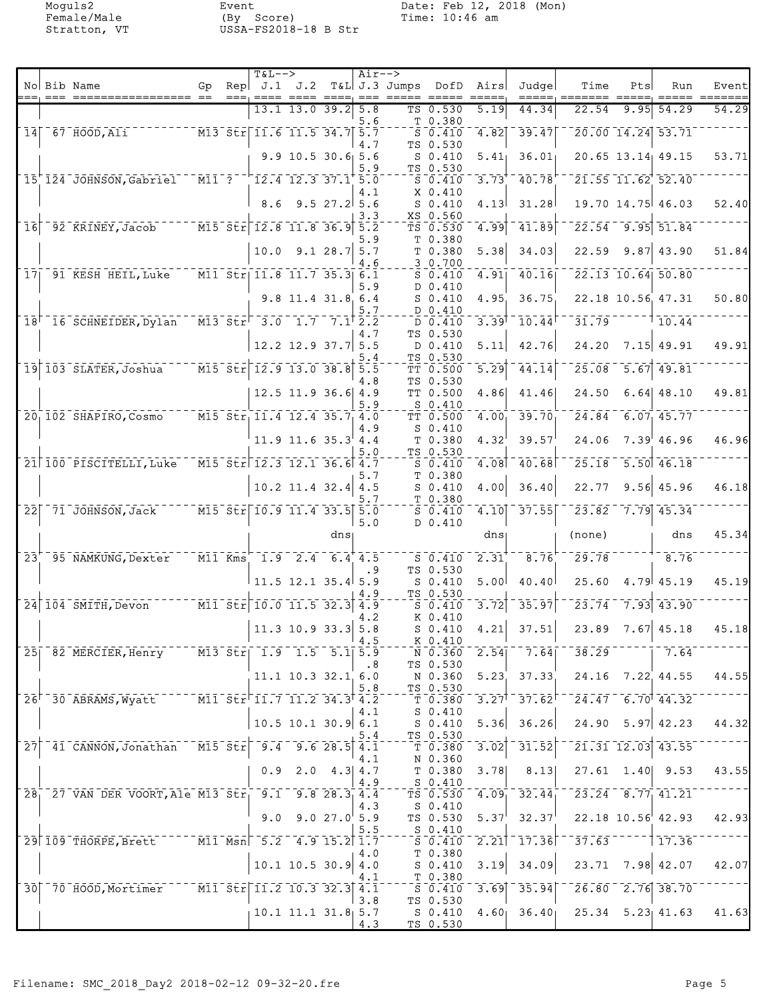|                 | No Bib Name                                                           | Gp | $==$ | $T&L-->$<br>$\text{Rep}$ J.1 J.2                                                                                          | ---- ---- ----, --- ---    |                  | $Air--$                 | T&L J.3 Jumps DofD Airs | == =====                                                                              |                   | Judgel<br>=====, ====                                   | Time                                                                                                                                   | Pts  | Run                                                      | Event |
|-----------------|-----------------------------------------------------------------------|----|------|---------------------------------------------------------------------------------------------------------------------------|----------------------------|------------------|-------------------------|-------------------------|---------------------------------------------------------------------------------------|-------------------|---------------------------------------------------------|----------------------------------------------------------------------------------------------------------------------------------------|------|----------------------------------------------------------|-------|
|                 |                                                                       |    |      |                                                                                                                           | $13.1$ 13.0 39.2           |                  | 5.8<br>5.6              |                         | TS 0.530<br>T 0.380                                                                   | 5.19              | 44.34                                                   | 22.54                                                                                                                                  | 9.95 | 54.29                                                    | 54.29 |
| 14              | 67 HOOD, Ali                                                          |    |      | $\n  - $ M13 Str 11.6 11.5 34.7 5.7                                                                                       |                            |                  |                         |                         | $S$ 0.410                                                                             | 4.82              | $-39.47$                                                |                                                                                                                                        |      | 20.00 14.24 53.71                                        |       |
|                 |                                                                       |    |      |                                                                                                                           | $9.9$ 10.5 30.6 5.6        |                  | 4.7<br>5.9              |                         | TS 0.530<br>$S_0.410$<br>TS 0.530                                                     | 5.41              | 36.01                                                   |                                                                                                                                        |      | 20.65 13.14 49.15                                        | 53.71 |
|                 | 15 124 JOHNSON, Gabriel                                               |    |      | $\overline{M11}$ ? $\overline{12.4}$ 12.3 37.1 5.0                                                                        |                            |                  |                         |                         | $S_0.410$                                                                             | 3.73              | 40.78                                                   |                                                                                                                                        |      | 21.55 11.62 52.40                                        |       |
|                 |                                                                       |    |      | 8.6                                                                                                                       |                            | $9.5$ 27.2 $5.6$ | 4.1                     |                         | X 0.410<br>$S_0.410$<br>XS 0.560                                                      | 4.13              | 31.28                                                   |                                                                                                                                        |      | 19.70 14.75 46.03                                        | 52.40 |
| 16              | 92 KRINEY, Jacob M15 Str 12.8 11.8 36.9 5.2                           |    |      |                                                                                                                           |                            |                  | 3.3                     |                         | TS 0.530                                                                              | 4.99              | 41.89                                                   |                                                                                                                                        |      | $22.54$ 9.95 51.84                                       |       |
|                 |                                                                       |    |      | 10.0                                                                                                                      |                            | 9.128.75.7       | 5.9<br>4.6              |                         | T 0.380<br>T 0.380<br>30.700                                                          | 5.38              | 34.03                                                   | 22.59                                                                                                                                  |      | $9.87$ 43.90                                             | 51.84 |
|                 | 17 91 KESH HEIL, Luke                                                 |    |      | $\overline{M11}$ $\overline{511}$ $\overline{11.8}$ $\overline{11.7}$ $\overline{35.3}$ $\overline{6.1}$                  |                            |                  |                         |                         | $S_0.410$                                                                             | $\overline{4.91}$ | 40.16                                                   |                                                                                                                                        |      | $\overline{22.13}$ $\overline{10.64}$ $\overline{50.80}$ |       |
|                 |                                                                       |    |      |                                                                                                                           | 9.8 11.4 31.8 6.4          |                  | 5.9                     |                         | $D$ 0.410<br>$S_0.410$                                                                | 4.95              | 36.75                                                   |                                                                                                                                        |      | 22.18 10.56 47.31                                        | 50.80 |
|                 | $18$ <sup><math>-16</math></sup> SCHNEIDER, Dylan                     |    |      | $\sqrt{13.5}$ $\sqrt{17}$ $\sqrt{17}$ $\sqrt{17}$ $\sqrt{17}$ $\sqrt{2.2}$                                                |                            |                  | 5.7                     |                         | D 0.410<br>D 0.410                                                                    | 3.39              | 10.44                                                   | 31.79                                                                                                                                  |      | 10.44                                                    |       |
|                 |                                                                       |    |      |                                                                                                                           | $12.2$ 12.9 37.7 5.5       |                  | 4.7                     |                         | TS 0.530<br>D 0.410                                                                   | 5.11              | 42.76                                                   | 24.20                                                                                                                                  |      | $7.15$ 49.91                                             | 49.91 |
|                 | $19$ $103$ $SLATER$ , Joshua <sup>---</sup>                           |    |      | $\overline{5.5}$ $\overline{5.5}$ $\overline{5.7}$ $\overline{12.9}$ $\overline{13.0}$ $\overline{38.8}$ $\overline{5.5}$ |                            |                  | 5.4                     |                         | TS 0.530<br>TT 0.500                                                                  | $\overline{5.29}$ | $\overline{4}\overline{4}\cdot\overline{1}\overline{4}$ | $\bar{25.08}$                                                                                                                          |      | $\overline{5.67}$ 49.81                                  |       |
|                 |                                                                       |    |      |                                                                                                                           | $12.5$ 11.9 36.6 4.9       |                  | 4.8                     |                         | TS 0.530<br>TT 0.500                                                                  | 4.86              | 41.46                                                   | 24.50                                                                                                                                  |      | $6.64$ 48.10                                             | 49.81 |
|                 | 20 102 SHAPIRO, Cosmo                                                 |    |      | $\overline{M15}$ $\overline{51}$ $\overline{11.4}$ $\overline{12.4}$ $\overline{35.7}$ $\overline{4.0}$                   |                            |                  | 5.9                     |                         | $S_0.410$<br>TT 0.500                                                                 | 4.00              | 39.70                                                   | 24.84                                                                                                                                  |      | 6.07, 45.77                                              |       |
|                 |                                                                       |    |      |                                                                                                                           | 11.9 11.6 35.3 4.4         |                  | 4.9                     |                         | $S_0.410$<br>T <sub>0.380</sub>                                                       | 4.32              | 39.57                                                   | 24.06                                                                                                                                  |      | $7.39'$ 46.96                                            | 46.96 |
|                 |                                                                       |    |      |                                                                                                                           |                            |                  | 5.0                     |                         | TS 0.530                                                                              |                   |                                                         |                                                                                                                                        |      |                                                          |       |
|                 | 21 100 PISCITELLI, Luke                                               |    |      | $M15$ Str 12.3 12.1 36.6 4.7                                                                                              |                            |                  | 5.7                     |                         | $S_0.410$<br>T 0.380                                                                  | 4.08              | 40.68                                                   | 25.18                                                                                                                                  |      | $\overline{5.50}$ 46.18                                  |       |
|                 |                                                                       |    |      |                                                                                                                           | $10.2$ 11.4 32.4 4.5       |                  | 5.7                     |                         | $S_0.410$<br>T 0.380                                                                  | 4.00              | 36.40                                                   | 22.77                                                                                                                                  |      | $9.56$ 45.96                                             | 46.18 |
| 22              | $-71$ JOHNSON, Jack                                                   |    |      | $\sqrt{15.5}$ $\text{str}$ 10.9 11.4 33.5 5.0                                                                             |                            |                  | 5.0                     |                         | $S_0.410$<br>D 0.410                                                                  | 4.10              | 37.55                                                   |                                                                                                                                        |      | $23.82 - 7.79$ 45.34                                     |       |
|                 |                                                                       |    |      |                                                                                                                           |                            | dns              |                         |                         |                                                                                       | dnsı              |                                                         | (none)                                                                                                                                 |      | dns                                                      | 45.34 |
| $\overline{2}3$ | 95 NAMKUNG, Dexter                                                    |    |      | $\overline{M11}$ Kms 1.9 2.4 6.4 4.5                                                                                      |                            |                  | . 9                     |                         | $S_0.410$<br>TS 0.530                                                                 | 2.31              | 8.76                                                    | 29.78                                                                                                                                  |      | 8.76                                                     |       |
|                 |                                                                       |    |      |                                                                                                                           | $11.5$ 12.1 35.4 5.9       |                  |                         |                         | $S_0.410$<br>TS 0.530                                                                 | 5.00              | 40.40                                                   | 25.60                                                                                                                                  |      | 4.79 45.19                                               | 45.19 |
|                 | $24   104   5$ MITH, Devon $M1 \overline{5t}r   10.0 11.5 32.3   4.5$ |    |      |                                                                                                                           |                            |                  | 4.9                     |                         | $S$ 0.410<br>K 0.410                                                                  | 3.72              | 35.97                                                   | 23.74                                                                                                                                  |      | $7.93$ 43.90                                             |       |
|                 |                                                                       |    |      |                                                                                                                           | $11.3$ 10.9 33.3 5.8       |                  | 4.2<br><sup>1</sup> 4.5 |                         | $S_0.410$<br>K 0.410                                                                  | 4.21              | 37.51                                                   | 23.89                                                                                                                                  |      | $7.67$ 45.18                                             | 45.18 |
|                 | 25 82 MERCIER, Henry M13 Str 1.9 1.5 5.1 5.9                          |    |      |                                                                                                                           |                            |                  |                         |                         |                                                                                       |                   |                                                         | $\sqrt{N}$ 0.360 2.54 $\sqrt{7.64}$ 38.29                                                                                              |      | $-7.64$                                                  |       |
|                 |                                                                       |    |      |                                                                                                                           | $11.1$ $10.3$ $32.1$ $6.0$ |                  | $\cdot$ 8<br>5.8        |                         | TS 0.530<br>TS 0.530                                                                  |                   |                                                         | N 0.360 5.23 37.33 24.16 7.22 44.55                                                                                                    |      |                                                          | 44.55 |
|                 | 26 30 ABRAMS, Wyatt M11 Str 11.7 11.2 34.3 4.2                        |    |      |                                                                                                                           |                            |                  |                         |                         |                                                                                       |                   |                                                         | $^{\circ}$ T $^{\circ}$ 0.380 $^{\circ}$ 3.27 $^{\circ}$ 37.62 $^{\circ}$ $^{\circ}$ 24.47 $^{\circ}$ 6.70 $^{\circ}$ 44.32 $^{\circ}$ |      |                                                          |       |
|                 |                                                                       |    |      |                                                                                                                           | $10.5$ 10.1 30.9 6.1       |                  | 4.1                     |                         | $S_0.410$<br>S 0.410<br>TS 0.530                                                      | 5.36              | 36.26                                                   |                                                                                                                                        |      | $24.90$ 5.97 42.23                                       | 44.32 |
|                 | 27 41 CANNON, Jonathan M15 Str 9.4 9.6 28.5 4.1                       |    |      |                                                                                                                           |                            |                  | 5.4                     |                         | $\bar{\mathbb{T}}$ $\bar{0.380}$ $\bar{\mathbb{T}}$                                   | 3.02              | $\overline{31.52}$ $\overline{2}$                       |                                                                                                                                        |      | $\sqrt{21.31}$ $\sqrt{12.03}$ $\sqrt{43.55}$             |       |
|                 |                                                                       |    |      |                                                                                                                           | $0.9$ 2.0 4.3 4.7          |                  | 4.1                     |                         | N 0.360<br>T 0.380                                                                    | 3.78              | 8.13                                                    |                                                                                                                                        |      | $27.61$ 1.40 9.53                                        | 43.55 |
|                 | 28 27 VAN DER VOORT, Ale M13 Str 9.1 9.8 28.3 4.4                     |    |      |                                                                                                                           |                            |                  | 4.9                     |                         | S 0.410                                                                               |                   |                                                         | $T_{\rm S}$ $\overline{0.530}$ $\overline{4.09}$ $\overline{32.44}$ $\overline{23.24}$ $\overline{8.77}$ $\overline{41.21}$            |      |                                                          |       |
|                 |                                                                       |    |      |                                                                                                                           | $9.0$ $9.0$ $27.0$ $5.9$   |                  | 4.3                     |                         | S 0.410<br>TS 0.530                                                                   |                   |                                                         | $5.37^{\dagger}$ $32.37^{\dagger}$ $22.18$ $10.56^{\dagger}$ $42.93$                                                                   |      |                                                          | 42.93 |
|                 | 29 109 THORPE, Brett ---- M11 Msn 5.2 4.9 15.2 1.7                    |    |      |                                                                                                                           |                            |                  | 5.5                     |                         | $S_0$ - $S_0$ . 410<br>$\overline{\phantom{0}}$ s 0.410 $\overline{\phantom{0}}$ 2.21 |                   |                                                         | $-17.\overline{36}$ $-37.\overline{63}$ $ -117.\overline{36}$                                                                          |      |                                                          |       |
|                 |                                                                       |    |      |                                                                                                                           | $10.1$ 10.5 30.9 4.0       |                  | 4.0                     |                         | T <sub>0.380</sub><br>S 0.410                                                         | 3.19              | 34.09                                                   |                                                                                                                                        |      | $23.71$ $7.98$ $42.07$                                   | 42.07 |
|                 | 30 70 HOOD, Mortimer M11 Str 11.2 10.3 32.3 4.1                       |    |      |                                                                                                                           |                            |                  | 4.1                     |                         | T <sub>0.380</sub>                                                                    |                   |                                                         | $-5.6.410 - 3.69 - 35.94 - 26.80 - 2.76 - 38.70$                                                                                       |      |                                                          |       |
|                 |                                                                       |    |      |                                                                                                                           |                            |                  | 3.8                     |                         | TS 0.530                                                                              |                   |                                                         | S 0.410 $4.60$ 36.40 $25.34$ $5.23$ $41.63$ $41.63$                                                                                    |      |                                                          |       |
|                 |                                                                       |    |      |                                                                                                                           | 10.1 11.1 31.8 $5.7$       |                  | 4.3                     |                         | TS 0.530                                                                              |                   |                                                         |                                                                                                                                        |      |                                                          |       |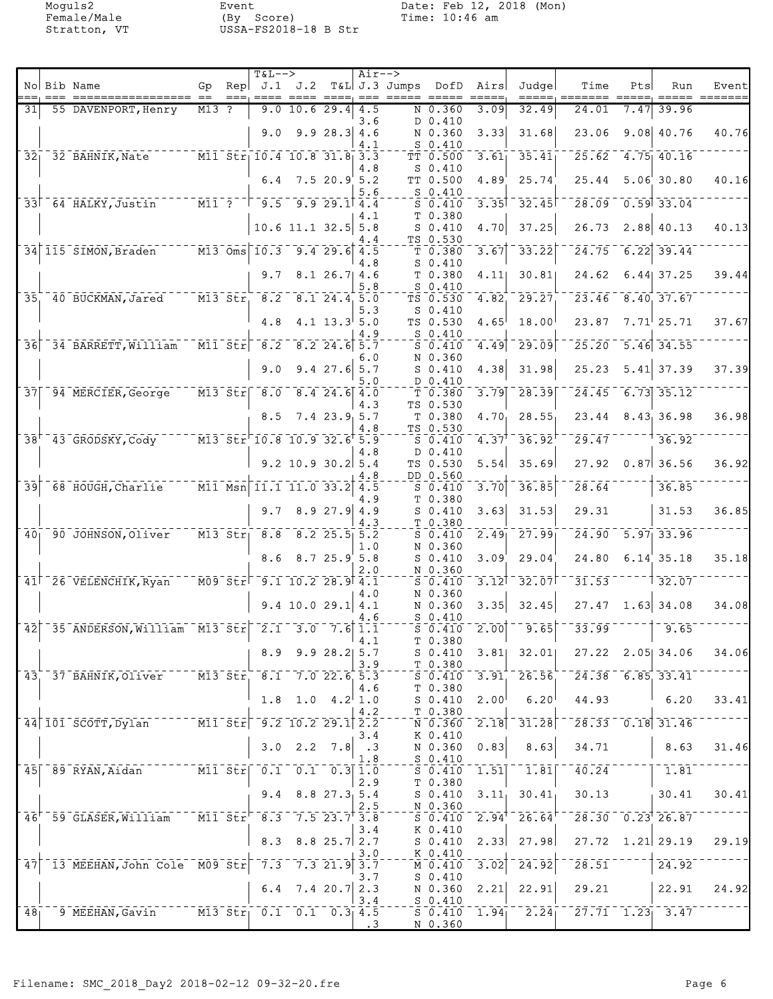|                 |                                                                                                        |         | $T&L-->$                                                                          |                                                                                                                              |                  | $Air--$    |                                       |                                                            |                     |                                                         |                                                                 |      |                                                         |       |
|-----------------|--------------------------------------------------------------------------------------------------------|---------|-----------------------------------------------------------------------------------|------------------------------------------------------------------------------------------------------------------------------|------------------|------------|---------------------------------------|------------------------------------------------------------|---------------------|---------------------------------------------------------|-----------------------------------------------------------------|------|---------------------------------------------------------|-------|
|                 | No Bib Name                                                                                            |         |                                                                                   |                                                                                                                              |                  |            | Gp Rep $J.1$ $J.2$ T&L J.3 Jumps DofD |                                                            | Airs                | Judgel                                                  | Time                                                            | Pts  | Run                                                     | Event |
| 31              | 55 DAVENPORT, Henry                                                                                    | $M13$ ? |                                                                                   | $9.0$ 10.6 29.4 4.5                                                                                                          |                  |            |                                       | N 0.360                                                    | 3.09                | 32.49                                                   | 24.01                                                           | 7.47 | 39.96                                                   |       |
|                 |                                                                                                        |         | 9.0                                                                               |                                                                                                                              | 9.928.34.6       | 3.6        |                                       | D 0.410<br>N 0.360                                         | 3.33                | 31.68                                                   | 23.06                                                           |      | $9.08$ 40.76                                            | 40.76 |
| $\overline{32}$ | $-32$ BAHNIK, Nate                                                                                     |         |                                                                                   | $\overline{M11}$ Str 10.4 10.8 31.8 3.3                                                                                      |                  | 4.1        |                                       | $S_0.410$<br>$TT - 0.500$                                  | 3.61                | 35.41                                                   | 25.62                                                           |      | $-4.75$ 40.16                                           |       |
|                 |                                                                                                        |         |                                                                                   | $6.4$ 7.5 20.9 5.2                                                                                                           |                  | 4.8        |                                       | $S_0.410$<br>TT 0.500                                      | 4.89                | 25.74                                                   | 25.44                                                           |      | $5.06$ 30.80                                            | 40.16 |
|                 | 33 64 HALKY, Justin M11? 7 9.5 9.9 29.1 4.4                                                            |         |                                                                                   |                                                                                                                              |                  | 5.6        |                                       | $S_0.410$<br>$S_0.410$                                     | $3.35$ <sup>T</sup> | $-32.45$                                                | 28.09                                                           |      | $0.59$ 33.04                                            |       |
|                 |                                                                                                        |         |                                                                                   |                                                                                                                              |                  | 4.1        |                                       | T 0.380                                                    |                     |                                                         |                                                                 |      |                                                         |       |
|                 |                                                                                                        |         |                                                                                   | $10.6$ 11.1 32.5 5.8                                                                                                         |                  | 4.4        |                                       | $S_0.410$<br>TS 0.530                                      | 4.70                | 37.25                                                   | 26.73                                                           |      | 2.88 40.13                                              | 40.13 |
|                 | 34 115 SIMON, Braden M13 Oms 10.3 9.4 29.6 4.5                                                         |         |                                                                                   |                                                                                                                              |                  |            |                                       | T 0.380                                                    | 3.67                | 33.22                                                   | 24.75                                                           |      | $6.22$ 39.44                                            |       |
|                 |                                                                                                        |         | 9.7                                                                               |                                                                                                                              | $8.1$ 26.7 4.6   | 4.8<br>5.8 |                                       | $S_0.410$<br>T 0.380<br>$S_0.410$                          | 4.11                | 30.81                                                   | 24.62                                                           |      | $6.44$ 37.25                                            | 39.44 |
| $\overline{35}$ | 40 BUCKMAN, Jared M13 Str. 8.2 8.1 24.4 5.0                                                            |         |                                                                                   |                                                                                                                              |                  | 5.3        |                                       | TS 0.530<br>$S_0.410$                                      | 4.82                | 29.27                                                   |                                                                 |      | $\overline{23.46}$ $\overline{8.40}$ $\overline{37.67}$ |       |
|                 |                                                                                                        |         | 4.8                                                                               |                                                                                                                              | $4.1$ 13.3 5.0   | 4.9        |                                       | TS 0.530<br>S 0.410                                        | 4.65                | 18.00                                                   | 23.87                                                           |      | $7.71$ <sup>25.71</sup>                                 | 37.67 |
| $\overline{36}$ | 34 BARRETT, William                                                                                    |         | $\overline{\text{Mil}}$ $\overline{\text{Str}}$ $\overline{\text{8.2}}$           |                                                                                                                              | $8.2$ 24.6 $5.7$ |            |                                       | $S_0.410$                                                  | 4.49                | $\overline{29.09}$                                      | 25.20                                                           |      | $5.46$ 34.55                                            |       |
|                 |                                                                                                        |         |                                                                                   |                                                                                                                              |                  | 6.O        |                                       | N 0.360                                                    |                     |                                                         |                                                                 |      |                                                         |       |
|                 |                                                                                                        |         | 9.0                                                                               |                                                                                                                              | $9.4$ 27.6 5.7   | 5.0        |                                       | $S_0.410$<br>D 0.410                                       | 4.38                | 31.98                                                   | 25.23                                                           |      | $5.41$ 37.39                                            | 37.39 |
|                 | $37$ $94$ MERCIER, George                                                                              |         |                                                                                   | $\overline{M13}$ $\overline{51r}$ $\overline{8.0}$ $\overline{8.4}$ $\overline{24.6}$ $\overline{4.0}$                       |                  | 4.3        |                                       | T 0.380<br>TS 0.530                                        | 3.79                | 28.39                                                   | $\overline{24.45}$                                              |      | $\overline{6.73}$ 35.12                                 |       |
|                 |                                                                                                        |         |                                                                                   | $8.5$ 7.4 23.9 5.7                                                                                                           |                  | 4.8        |                                       | T 0.380<br>TS 0.530                                        | 4.70                | 28.55                                                   |                                                                 |      | $23.44$ 8.43 36.98                                      | 36.98 |
|                 | 38 <sup>+-</sup> 43-GRODSKY, Cody <sup>----</sup> M13-Str <sup>-</sup> 10.8 10.9 32.6 <sup>+</sup> 5.9 |         |                                                                                   |                                                                                                                              |                  | 4.8        |                                       | $S_0.410$<br>D 0.410                                       | $4.37$ <sup>T</sup> | 36.92                                                   | 29.47                                                           |      | 36.92                                                   |       |
|                 |                                                                                                        |         |                                                                                   | $9.2$ 10.9 30.2 5.4                                                                                                          |                  |            |                                       | TS 0.530<br>DD 0.560                                       | 5.54                | 35.69                                                   | 27.92                                                           |      | $0.87$ 36.56                                            | 36.92 |
| $\overline{39}$ | $68$ HOUGH, Charlie $M11$ Msn 11.1 11.0 33.2 4.5                                                       |         |                                                                                   |                                                                                                                              |                  | 4.8        |                                       | $S_0.410$                                                  | 3.70                | 36.85                                                   | 28.64                                                           |      | 36.85                                                   |       |
|                 |                                                                                                        |         |                                                                                   | $9.7$ 8.9 27.9 4.9                                                                                                           |                  | 1.9        |                                       | T 0.380<br>$S_0.410$                                       | 3.63                | 31.53                                                   | 29.31                                                           |      | 31.53                                                   | 36.85 |
| 40 <sub>1</sub> | 90 JOHNSON, Oliver                                                                                     |         | $\overline{M13}$ $\overline{51}$ $\overline{51}$ $\overline{21}$ $\overline{8.8}$ |                                                                                                                              | $8.2$ 25.5 5.2   | 4.3        |                                       | T 0.380<br>$S_0.410$                                       | 2.49                | 27.99                                                   | 24.90                                                           |      | $5.97$ 33.96                                            |       |
|                 |                                                                                                        |         |                                                                                   | $8.6$ $8.7$ $25.9$ $5.8$                                                                                                     |                  | 1.0        |                                       | N 0.360<br>$S_0.410$                                       | 3.09                | 29.04                                                   | 24.80                                                           |      | $6.14$ 35.18                                            | 35.18 |
|                 | $41$ <sup><math>-26</math></sup> VELENCHIK, Ryan                                                       |         |                                                                                   | $\sqrt{109}$ $\sqrt{5}$ $\sqrt{1}$ $\sqrt{9}$ $\sqrt{1}$ $\sqrt{10}$ $\sqrt{2}$ $\sqrt{28}$ $\sqrt{9}$ $\sqrt{4}$ $\sqrt{1}$ |                  | 2.0        |                                       | N 0.360<br>$S_0.410$                                       | $\overline{3.12}$   | 32.07                                                   | 31.53                                                           |      | $\overline{32.07}$                                      |       |
|                 |                                                                                                        |         |                                                                                   | $9.4$ 10.0 29.1 4.1                                                                                                          |                  | 4.0        |                                       | N 0.360<br>N 0.360                                         | 3.35                | 32.45                                                   |                                                                 |      | $27.47$ 1.63 34.08                                      | 34.08 |
|                 | $\mid$ 42 $\mid$ 35 ANDERSON, William $\mid$ M13 Str $\mid$ 2.1 3.0 $\mid$ 7.6 1.1                     |         |                                                                                   |                                                                                                                              |                  | 4.6        |                                       | $S_0.410$<br>$S_0.410$                                     |                     | $\left[2.00\right]$ <sup>--</sup> 9.65                  | 33.99                                                           |      | $-1 - 9.65$                                             |       |
|                 |                                                                                                        |         |                                                                                   | $8.9$ $9.9$ $28.2$ 5.7                                                                                                       |                  | 4.1        |                                       | T 0.380<br>$S$ $0.410$                                     |                     | $3.81$ 32.01                                            |                                                                 |      | $27.22$ $2.05$ 34.06                                    | 34.06 |
|                 | 43 37 BAHNIK, Oliver M13 Str 8.1 7.0 22.6 5.3                                                          |         |                                                                                   |                                                                                                                              |                  | 3.9        |                                       | $T_{-}$ $T_{-}$ 0.380<br>S 0.410                           |                     | $3.91$ <sup>-26.56</sup>                                |                                                                 |      | $\overline{24.38}$ 6.85 33.41                           |       |
|                 |                                                                                                        |         |                                                                                   | $1.8$ 1.0 $4.2$ 1.0                                                                                                          |                  | 4.6        |                                       | T 0.380<br>$S_0.410$                                       | $2.00$ <sup> </sup> | $6.20^{1}$                                              |                                                                 |      | $44.93$ 6.20                                            | 33.41 |
|                 | $144$ 101 SCOTT, Dylan $15t$ $5t$ $-9.2$ 10.2 29.1 $2.5$                                               |         |                                                                                   |                                                                                                                              |                  | 4.2        |                                       | T 0.380<br>N 0.360                                         |                     | $\overline{2.18}$ $\overline{31.28}$                    | $-28.33 - 0.18$ 31.46                                           |      |                                                         |       |
|                 |                                                                                                        |         |                                                                                   | $3.0$ $2.2$ $7.8$ $.3$                                                                                                       |                  | 3.4        |                                       | K 0.410<br>N 0.360                                         | 0.83                | 8.63                                                    | 34.71                                                           |      | $\vert$ 8.63                                            | 31.46 |
|                 | 45 89 RYAN, Aidan M11 Str 0.1 0.1 0.3 1.0                                                              |         |                                                                                   |                                                                                                                              |                  | 1.8        |                                       | $S_0.410$<br>$S^-0.410$                                    | $\mathbf{1.51}$     | $\bar{1}$ . $\bar{8}\bar{1}$                            | $\overline{40.24}$ $  -$                                        |      | $\begin{bmatrix} -1.81 \end{bmatrix}$                   |       |
|                 |                                                                                                        |         |                                                                                   | $9.4$ 8.8 27.3 5.4                                                                                                           |                  | 2.9        |                                       | T 0.380<br>S 0.410                                         |                     | $3.11$ , $30.41$                                        | 30.13                                                           |      | 30.41                                                   | 30.41 |
|                 | 46 <sup>+-</sup> 59-GLASER, William M11-Str <sup>-8.3-7.5</sup> 23.7 <sup>+</sup> 3.8                  |         |                                                                                   |                                                                                                                              |                  | 2.5        |                                       | N 0.360<br>$-\overline{5} - \overline{0} - \overline{4}10$ |                     | $2.94^{\circ}$ $26.64^{\circ}$                          |                                                                 |      | $\sqrt{28.30}$ $\sqrt{0.23}$ $\sqrt{26.87}$             |       |
|                 |                                                                                                        |         |                                                                                   | $8.3$ $8.8$ $25.7$ $2.7$                                                                                                     |                  | 3.4        |                                       | K 0.410<br>S 0.410                                         |                     | $2.33$ $27.98$                                          |                                                                 |      | $27.72$ 1.21 29.19                                      | 29.19 |
| 47              | 13 MEEHAN, John Cole M09 Str 7.3 7.3 21.9 3.7                                                          |         |                                                                                   |                                                                                                                              |                  | 3.0        |                                       | $K_{0.410}$<br>M 0.410                                     | $\overline{3.02}$   | $\overline{2}\overline{4}\cdot\overline{9}\overline{2}$ |                                                                 |      | $\frac{1}{28.51}$ $\frac{1}{24.92}$                     |       |
|                 |                                                                                                        |         |                                                                                   | 6.4 $7.4$ 20.7 2.3                                                                                                           |                  | 3.7        |                                       | $S_0.410$<br>N 0.360                                       | 2.21                | 22.91                                                   | 29.21                                                           |      | 22.91                                                   | 24.92 |
|                 |                                                                                                        |         |                                                                                   |                                                                                                                              |                  | 3.4        |                                       | $S_{0.410}$                                                |                     |                                                         |                                                                 |      |                                                         |       |
| 48 <sub>1</sub> | 9 MEEHAN, Gavin M13 Str 0.1 0.1 0.3 4.5                                                                |         |                                                                                   |                                                                                                                              |                  | $\cdot$ 3  |                                       | N 0.360                                                    |                     |                                                         | $5\overline{0.410}$ 1.94 $2.24$ $7\overline{27.71}$ 1.23 $3.47$ |      |                                                         |       |